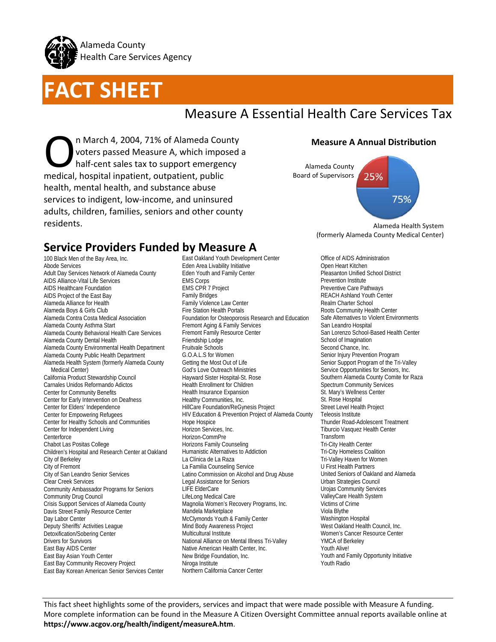

# **FACT SHEET**

# Measure A Essential Health Care Services Tax

n March 4, 2004, 71% of Alameda County voters passed Measure A, which imposed a half-cent sales tax to support emergency m March 4, 2004, 71% of Alameda Court of Narch 4, 2004, 71% of Alameda Court of Narch 1996<br>
half-cent sales tax to support emerge medical, hospital inpatient, outpatient, public health, mental health, and substance abuse services to indigent, low-income, and uninsured adults, children, families, seniors and other county residents.

### **Measure A Annual Distribution**



Alameda Health System (formerly Alameda County Medical Center)

## **Service Providers Funded by Measure A**

100 Black Men of the Bay Area, Inc. Abode Services Adult Day Services Network of Alameda County AIDS Alliance-Vital Life Services AIDS Healthcare Foundation AIDS Project of the East Bay Alameda Alliance for Health Alameda Boys & Girls Club Alameda Contra Costa Medical Association Alameda County Asthma Start Alameda County Behavioral Health Care Services Alameda County Dental Health Alameda County Environmental Health Department Alameda County Public Health Department Alameda Health System (formerly Alameda County Medical Center) California Product Stewardship Council Carnales Unidos Reformando Adictos Center for Community Benefits Center for Early Intervention on Deafness Center for Elders' Independence Center for Empowering Refugees Center for Healthy Schools and Communities Center for Independent Living **Centerforce** Chabot Las Positas College Children's Hospital and Research Center at Oakland City of Berkeley City of Fremont City of San Leandro Senior Services Clear Creek Services Community Ambassador Programs for Seniors Community Drug Council Crisis Support Services of Alameda County Davis Street Family Resource Center Day Labor Center Deputy Sheriffs' Activities League Detoxification/Sobering Center Drivers for Survivors East Bay AIDS Center East Bay Asian Youth Center East Bay Community Recovery Project East Bay Korean American Senior Services Center

East Oakland Youth Development Center Eden Area Livability Initiative Eden Youth and Family Center EMS Corps EMS CPR 7 Project Family Bridges Family Violence Law Center Fire Station Health Portals Foundation for Osteoporosis Research and Education Fremont Aging & Family Services Fremont Family Resource Center Friendship Lodge Fruitvale Schools G.O.A.L.S for Women Getting the Most Out of Life God's Love Outreach Ministries Hayward Sister Hospital-St. Rose Health Enrollment for Children Health Insurance Expansion Healthy Communities, Inc. HillCare Foundation/ReGynesis Project HIV Education & Prevention Project of Alameda County Hope Hospice Horizon Services, Inc. Horizon-CommPre Horizons Family Counseling Humanistic Alternatives to Addiction La Clínica de La Raza La Familia Counseling Service Latino Commission on Alcohol and Drug Abuse Legal Assistance for Seniors LIFE ElderCare LifeLong Medical Care Magnolia Women's Recovery Programs, Inc. Mandela Marketplace McClymonds Youth & Family Center Mind Body Awareness Project Multicultural Institute National Alliance on Mental Illness Tri-Valley Native American Health Center, Inc. New Bridge Foundation, Inc. Niroga Institute Northern California Cancer Center

Office of AIDS Administration Open Heart Kitchen Pleasanton Unified School District Prevention Institute Preventive Care Pathways REACH Ashland Youth Center Realm Charter School Roots Community Health Center Safe Alternatives to Violent Environments San Leandro Hospital San Lorenzo School-Based Health Center School of Imagination Second Chance, Inc. Senior Injury Prevention Program Senior Support Program of the Tri-Valley Service Opportunities for Seniors, Inc. Southern Alameda County Comite for Raza Spectrum Community Services St. Mary's Wellness Center St. Rose Hospital Street Level Health Project Teleosis Institute Thunder Road-Adolescent Treatment Tiburcio Vasquez Health Center Transform Tri-City Health Center Tri-City Homeless Coalition Tri-Valley Haven for Women U First Health Partners United Seniors of Oakland and Alameda Urban Strategies Council Urojas Community Services ValleyCare Health System Victims of Crime Viola Blythe Washington Hospital West Oakland Health Council, Inc. Women's Cancer Resource Center YMCA of Berkeley Youth Alive! Youth and Family Opportunity Initiative Youth Radio

This fact sheet highlights some of the providers, services and impact that were made possible with Measure A funding. More complete information can be found in the Measure A Citizen Oversight Committee annual reports available online at **https://www.acgov.org/health/indigent/measureA.htm**.